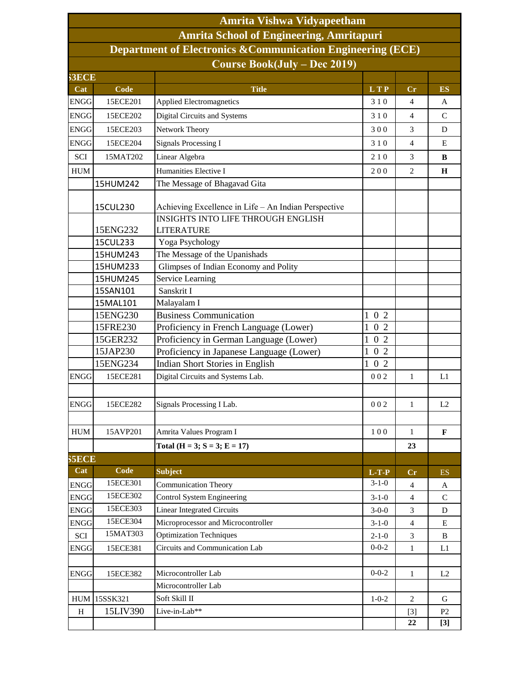| <b>Amrita Vishwa Vidyapeetham</b><br><b>Amrita School of Engineering, Amritapuri</b><br>Department of Electronics & Communication Engineering (ECE)<br><b>Course Book(July - Dec 2019)</b> |          |                                                      |             |                |                          |  |  |  |  |              |          |                                 |            |    |           |
|--------------------------------------------------------------------------------------------------------------------------------------------------------------------------------------------|----------|------------------------------------------------------|-------------|----------------|--------------------------|--|--|--|--|--------------|----------|---------------------------------|------------|----|-----------|
|                                                                                                                                                                                            |          |                                                      |             |                |                          |  |  |  |  | <b>S3ECE</b> |          |                                 |            |    |           |
|                                                                                                                                                                                            |          |                                                      |             |                |                          |  |  |  |  | Cat          | Code     | <b>Title</b>                    | <b>LTP</b> | Cr | <b>ES</b> |
|                                                                                                                                                                                            |          |                                                      |             |                |                          |  |  |  |  | <b>ENGG</b>  | 15ECE201 | <b>Applied Electromagnetics</b> | 310        | 4  | A         |
| <b>ENGG</b>                                                                                                                                                                                | 15ECE202 | Digital Circuits and Systems                         | 310         | $\overline{4}$ | $\mathcal{C}$            |  |  |  |  |              |          |                                 |            |    |           |
| <b>ENGG</b>                                                                                                                                                                                | 15ECE203 | <b>Network Theory</b>                                | 300         | 3              | D                        |  |  |  |  |              |          |                                 |            |    |           |
| <b>ENGG</b>                                                                                                                                                                                | 15ECE204 | <b>Signals Processing I</b>                          | 310         | $\overline{4}$ | E                        |  |  |  |  |              |          |                                 |            |    |           |
|                                                                                                                                                                                            |          |                                                      |             |                |                          |  |  |  |  |              |          |                                 |            |    |           |
| SCI                                                                                                                                                                                        | 15MAT202 | Linear Algebra                                       | 210         | 3              | B                        |  |  |  |  |              |          |                                 |            |    |           |
| <b>HUM</b>                                                                                                                                                                                 |          | Humanities Elective I                                | 200         | $\overline{2}$ | $\mathbf H$              |  |  |  |  |              |          |                                 |            |    |           |
|                                                                                                                                                                                            | 15HUM242 | The Message of Bhagavad Gita                         |             |                |                          |  |  |  |  |              |          |                                 |            |    |           |
|                                                                                                                                                                                            | 15CUL230 | Achieving Excellence in Life - An Indian Perspective |             |                |                          |  |  |  |  |              |          |                                 |            |    |           |
|                                                                                                                                                                                            |          | <b>INSIGHTS INTO LIFE THROUGH ENGLISH</b>            |             |                |                          |  |  |  |  |              |          |                                 |            |    |           |
|                                                                                                                                                                                            | 15ENG232 | <b>LITERATURE</b>                                    |             |                |                          |  |  |  |  |              |          |                                 |            |    |           |
|                                                                                                                                                                                            | 15CUL233 | Yoga Psychology                                      |             |                |                          |  |  |  |  |              |          |                                 |            |    |           |
|                                                                                                                                                                                            | 15HUM243 | The Message of the Upanishads                        |             |                |                          |  |  |  |  |              |          |                                 |            |    |           |
|                                                                                                                                                                                            | 15HUM233 | Glimpses of Indian Economy and Polity                |             |                |                          |  |  |  |  |              |          |                                 |            |    |           |
|                                                                                                                                                                                            | 15HUM245 | <b>Service Learning</b>                              |             |                |                          |  |  |  |  |              |          |                                 |            |    |           |
|                                                                                                                                                                                            | 15SAN101 | Sanskrit I                                           |             |                |                          |  |  |  |  |              |          |                                 |            |    |           |
|                                                                                                                                                                                            | 15MAL101 | Malayalam I                                          |             |                |                          |  |  |  |  |              |          |                                 |            |    |           |
|                                                                                                                                                                                            | 15ENG230 | <b>Business Communication</b>                        | 102         |                |                          |  |  |  |  |              |          |                                 |            |    |           |
|                                                                                                                                                                                            | 15FRE230 | Proficiency in French Language (Lower)               | 102         |                |                          |  |  |  |  |              |          |                                 |            |    |           |
|                                                                                                                                                                                            | 15GER232 | Proficiency in German Language (Lower)               | 102         |                |                          |  |  |  |  |              |          |                                 |            |    |           |
|                                                                                                                                                                                            | 15JAP230 | Proficiency in Japanese Language (Lower)             | 102         |                |                          |  |  |  |  |              |          |                                 |            |    |           |
|                                                                                                                                                                                            | 15ENG234 | Indian Short Stories in English                      | 102         |                |                          |  |  |  |  |              |          |                                 |            |    |           |
| <b>ENGG</b>                                                                                                                                                                                | 15ECE281 | Digital Circuits and Systems Lab.                    | 002         | $\mathbf{1}$   | L1                       |  |  |  |  |              |          |                                 |            |    |           |
|                                                                                                                                                                                            |          |                                                      |             |                |                          |  |  |  |  |              |          |                                 |            |    |           |
| <b>ENGG</b>                                                                                                                                                                                | 15ECE282 | Signals Processing I Lab.                            | 002         | $\mathbf{1}$   | L2                       |  |  |  |  |              |          |                                 |            |    |           |
|                                                                                                                                                                                            |          |                                                      |             |                |                          |  |  |  |  |              |          |                                 |            |    |           |
| <b>HUM</b>                                                                                                                                                                                 | 15AVP201 | Amrita Values Program I                              | 100         | $\mathbf{1}$   | $\mathbf{F}$             |  |  |  |  |              |          |                                 |            |    |           |
|                                                                                                                                                                                            |          | Total ( $H = 3$ ; $S = 3$ ; $E = 17$ )               |             | 23             |                          |  |  |  |  |              |          |                                 |            |    |           |
| 35ECE                                                                                                                                                                                      |          |                                                      |             |                |                          |  |  |  |  |              |          |                                 |            |    |           |
| Cat                                                                                                                                                                                        | Code     | <b>Subject</b>                                       | $L-T-P$     | Cr             | $\mathop{\hbox{\rm ES}}$ |  |  |  |  |              |          |                                 |            |    |           |
| <b>ENGG</b>                                                                                                                                                                                | 15ECE301 | <b>Communication Theory</b>                          | $3-1-0$     | $\overline{4}$ | A                        |  |  |  |  |              |          |                                 |            |    |           |
| <b>ENGG</b>                                                                                                                                                                                | 15ECE302 | Control System Engineering                           | $3-1-0$     | $\overline{4}$ | ${\bf C}$                |  |  |  |  |              |          |                                 |            |    |           |
| <b>ENGG</b>                                                                                                                                                                                | 15ECE303 | <b>Linear Integrated Circuits</b>                    | $3-0-0$     | 3              | D                        |  |  |  |  |              |          |                                 |            |    |           |
| <b>ENGG</b>                                                                                                                                                                                | 15ECE304 | Microprocessor and Microcontroller                   | $3-1-0$     | $\overline{4}$ | Ε                        |  |  |  |  |              |          |                                 |            |    |           |
| SCI                                                                                                                                                                                        | 15MAT303 | <b>Optimization Techniques</b>                       | $2 - 1 - 0$ | 3              | B                        |  |  |  |  |              |          |                                 |            |    |           |
| <b>ENGG</b>                                                                                                                                                                                | 15ECE381 | Circuits and Communication Lab                       | $0 - 0 - 2$ | $\mathbf{1}$   | L1                       |  |  |  |  |              |          |                                 |            |    |           |
|                                                                                                                                                                                            |          |                                                      |             |                |                          |  |  |  |  |              |          |                                 |            |    |           |
| <b>ENGG</b>                                                                                                                                                                                | 15ECE382 | Microcontroller Lab                                  | $0 - 0 - 2$ | $\mathbf{1}$   | L2                       |  |  |  |  |              |          |                                 |            |    |           |
|                                                                                                                                                                                            |          | Microcontroller Lab                                  |             |                |                          |  |  |  |  |              |          |                                 |            |    |           |
| HUM                                                                                                                                                                                        | 15SSK321 | Soft Skill II                                        | $1 - 0 - 2$ | 2              | G                        |  |  |  |  |              |          |                                 |            |    |           |
| H                                                                                                                                                                                          | 15LIV390 | Live-in-Lab**                                        |             | $[3]$          | P2                       |  |  |  |  |              |          |                                 |            |    |           |
|                                                                                                                                                                                            |          |                                                      |             | 22             | $[3]$                    |  |  |  |  |              |          |                                 |            |    |           |